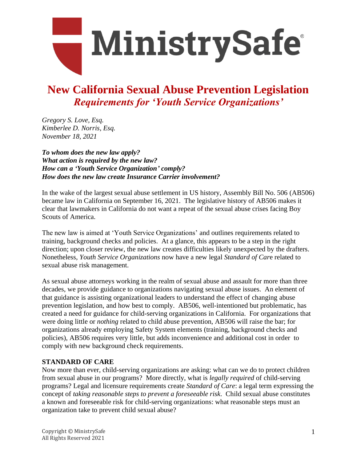

### **New California Sexual Abuse Prevention Legislation** *Requirements for 'Youth Service Organizations'*

*Gregory S. Love, Esq. Kimberlee D. Norris, Esq. November 18, 2021*

*To whom does the new law apply? What action is required by the new law? How can a 'Youth Service Organization' comply? How does the new law create Insurance Carrier involvement?*

In the wake of the largest sexual abuse settlement in US history, Assembly Bill No. 506 (AB506) became law in California on September 16, 2021. The legislative history of AB506 makes it clear that lawmakers in California do not want a repeat of the sexual abuse crises facing Boy Scouts of America.

The new law is aimed at 'Youth Service Organizations' and outlines requirements related to training, background checks and policies. At a glance, this appears to be a step in the right direction; upon closer review, the new law creates difficulties likely unexpected by the drafters. Nonetheless, *Youth Service Organizations* now have a new legal *Standard of Car*e related to sexual abuse risk management.

As sexual abuse attorneys working in the realm of sexual abuse and assault for more than three decades, we provide guidance to organizations navigating sexual abuse issues. An element of that guidance is assisting organizational leaders to understand the effect of changing abuse prevention legislation, and how best to comply. AB506, well-intentioned but problematic, has created a need for guidance for child-serving organizations in California. For organizations that were doing little or *nothing* related to child abuse prevention, AB506 will raise the bar; for organizations already employing Safety System elements (training, background checks and policies), AB506 requires very little, but adds inconvenience and additional cost in order to comply with new background check requirements.

#### **STANDARD OF CARE**

Now more than ever, child-serving organizations are asking: what can we do to protect children from sexual abuse in our programs? More directly, what is *legally required* of child-serving programs? Legal and licensure requirements create *Standard of Care*: a legal term expressing the concept of *taking reasonable steps to prevent a foreseeable risk*. Child sexual abuse constitutes a known and foreseeable risk for child-serving organizations: what reasonable steps must an organization take to prevent child sexual abuse?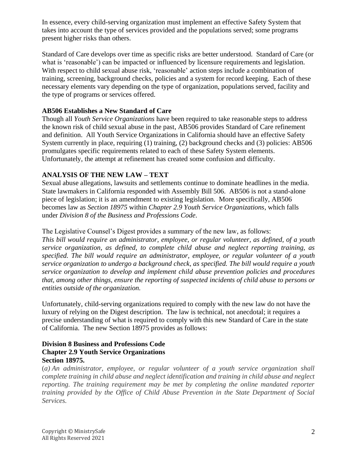In essence, every child-serving organization must implement an effective Safety System that takes into account the type of services provided and the populations served; some programs present higher risks than others.

Standard of Care develops over time as specific risks are better understood. Standard of Care (or what is 'reasonable') can be impacted or influenced by licensure requirements and legislation. With respect to child sexual abuse risk, 'reasonable' action steps include a combination of training, screening, background checks, policies and a system for record keeping. Each of these necessary elements vary depending on the type of organization, populations served, facility and the type of programs or services offered.

#### **AB506 Establishes a New Standard of Care**

Though all *Youth Service Organizations* have been required to take reasonable steps to address the known risk of child sexual abuse in the past, AB506 provides Standard of Care refinement and definition. All Youth Service Organizations in California should have an effective Safety System currently in place, requiring (1) training, (2) background checks and (3) policies: AB506 promulgates specific requirements related to each of these Safety System elements. Unfortunately, the attempt at refinement has created some confusion and difficulty.

#### **ANALYSIS OF THE NEW LAW – TEXT**

Sexual abuse allegations, lawsuits and settlements continue to dominate headlines in the media. State lawmakers in California responded with Assembly Bill 506. AB506 is not a stand-alone piece of legislation; it is an amendment to existing legislation. More specifically, AB506 becomes law as *Section 18975* within *Chapter 2.9 Youth Service Organizations*, which falls under *Division 8 of the Business and Professions Code*.

The Legislative Counsel's Digest provides a summary of the new law, as follows:

*This bill would require an administrator, employee, or regular volunteer, as defined, of a youth service organization, as defined, to complete child abuse and neglect reporting training, as specified. The bill would require an administrator, employee, or regular volunteer of a youth service organization to undergo a background check, as specified. The bill would require a youth service organization to develop and implement child abuse prevention policies and procedures that, among other things, ensure the reporting of suspected incidents of child abuse to persons or entities outside of the organization.*

Unfortunately, child-serving organizations required to comply with the new law do not have the luxury of relying on the Digest description. The law is technical, not anecdotal; it requires a precise understanding of what is required to comply with this new Standard of Care in the state of California. The new Section 18975 provides as follows:

#### **Division 8 Business and Professions Code Chapter 2.9 Youth Service Organizations Section 18975.**

(*a) An administrator, employee, or regular volunteer of a youth service organization shall complete training in child abuse and neglect identification and training in child abuse and neglect reporting. The training requirement may be met by completing the online mandated reporter training provided by the Office of Child Abuse Prevention in the State Department of Social Services.*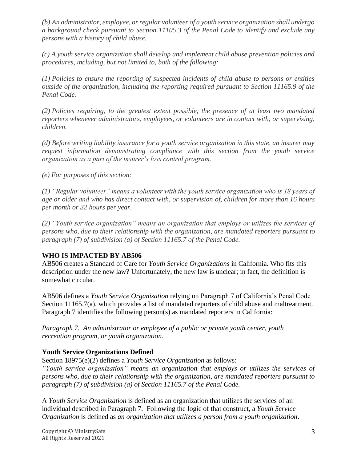*(b) An administrator, employee, or regular volunteer of a youth service organization shall undergo a background check pursuant to Section 11105.3 of the Penal Code to identify and exclude any persons with a history of child abuse.*

*(c) A youth service organization shall develop and implement child abuse prevention policies and procedures, including, but not limited to, both of the following:*

*(1) Policies to ensure the reporting of suspected incidents of child abuse to persons or entities outside of the organization, including the reporting required pursuant to Section 11165.9 of the Penal Code.*

*(2) Policies requiring, to the greatest extent possible, the presence of at least two mandated reporters whenever administrators, employees, or volunteers are in contact with, or supervising, children.*

*(d) Before writing liability insurance for a youth service organization in this state, an insurer may request information demonstrating compliance with this section from the youth service organization as a part of the insurer's loss control program.*

*(e) For purposes of this section:*

*(1) "Regular volunteer" means a volunteer with the youth service organization who is 18 years of age or older and who has direct contact with, or supervision of, children for more than 16 hours per month or 32 hours per year.*

*(2) "Youth service organization" means an organization that employs or utilizes the services of persons who, due to their relationship with the organization, are mandated reporters pursuant to paragraph (7) of subdivision (a) of Section 11165.7 of the Penal Code.*

#### **WHO IS IMPACTED BY AB506**

AB506 creates a Standard of Care for *Youth Service Organizations* in California. Who fits this description under the new law? Unfortunately, the new law is unclear; in fact, the definition is somewhat circular.

AB506 defines a *Youth Service Organization* relying on Paragraph 7 of California's Penal Code Section 11165.7(a), which provides a list of mandated reporters of child abuse and maltreatment. Paragraph 7 identifies the following person(s) as mandated reporters in California:

*Paragraph 7. An administrator or employee of a public or private youth center, youth recreation program, or youth organization.*

#### **Youth Service Organizations Defined**

Section 18975(e)(2) defines a *Youth Service Organization* as follows:

*"Youth service organization" means an organization that employs or utilizes the services of persons who, due to their relationship with the organization, are mandated reporters pursuant to paragraph (7) of subdivision (a) of Section 11165.7 of the Penal Code.*

A *Youth Service Organization* is defined as an organization that utilizes the services of an individual described in Paragraph 7. Following the logic of that construct, a *Youth Service Organization* is defined as *an organization that utilizes a person from a youth organization*.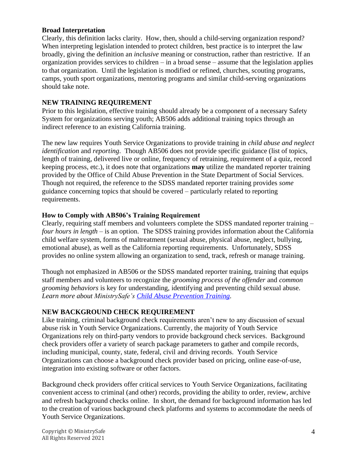#### **Broad Interpretation**

Clearly, this definition lacks clarity. How, then, should a child-serving organization respond? When interpreting legislation intended to protect children, best practice is to interpret the law broadly, giving the definition an *inclusive* meaning or construction, rather than restrictive. If an organization provides services to children – in a broad sense – assume that the legislation applies to that organization. Until the legislation is modified or refined, churches, scouting programs, camps, youth sport organizations, mentoring programs and similar child-serving organizations should take note.

#### **NEW TRAINING REQUIREMENT**

Prior to this legislation, effective training should already be a component of a necessary Safety System for organizations serving youth; AB506 adds additional training topics through an indirect reference to an existing California training.

The new law requires Youth Service Organizations to provide training in *child abuse and neglect identification* and *reporting*. Though AB506 does not provide specific guidance (list of topics, length of training, delivered live or online, frequency of retraining, requirement of a quiz, record keeping process, etc.), it does note that organizations **may** utilize the mandated reporter training provided by the Office of Child Abuse Prevention in the State Department of Social Services. Though not required, the reference to the SDSS mandated reporter training provides *some* guidance concerning topics that should be covered – particularly related to reporting requirements.

#### **How to Comply with AB506's Training Requirement**

Clearly, requiring staff members and volunteers complete the SDSS mandated reporter training – *four hours in length –* is an option. The SDSS training provides information about the California child welfare system, forms of maltreatment (sexual abuse, physical abuse, neglect, bullying, emotional abuse), as well as the California reporting requirements. Unfortunately, SDSS provides no online system allowing an organization to send, track, refresh or manage training.

Though not emphasized in AB506 or the SDSS mandated reporter training, training that equips staff members and volunteers to recognize the *grooming process of the offender* and *common grooming behaviors* is key for understanding, identifying and preventing child sexual abuse. *Learn more about MinistrySafe's [Child Abuse Prevention Training.](https://ms.ministrysafe.com/newtrainings/)*

#### **NEW BACKGROUND CHECK REQUIREMENT**

Like training, criminal background check requirements aren't new to any discussion of sexual abuse risk in Youth Service Organizations. Currently, the majority of Youth Service Organizations rely on third-party vendors to provide background check services. Background check providers offer a variety of search package parameters to gather and compile records, including municipal, county, state, federal, civil and driving records. Youth Service Organizations can choose a background check provider based on pricing, online ease-of-use, integration into existing software or other factors.

Background check providers offer critical services to Youth Service Organizations, facilitating convenient access to criminal (and other) records, providing the ability to order, review, archive and refresh background checks online. In short, the demand for background information has led to the creation of various background check platforms and systems to accommodate the needs of Youth Service Organizations.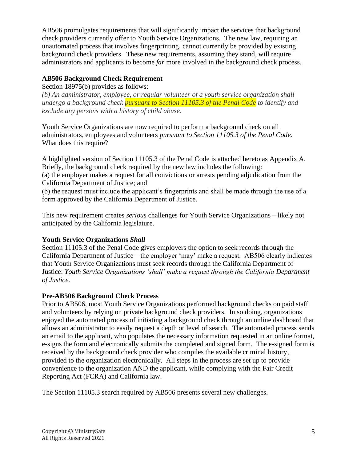AB506 promulgates requirements that will significantly impact the services that background check providers currently offer to Youth Service Organizations. The new law, requiring an unautomated process that involves fingerprinting, cannot currently be provided by existing background check providers. These new requirements, assuming they stand, will require administrators and applicants to become *far* more involved in the background check process.

#### **AB506 Background Check Requirement**

Section 18975(b) provides as follows:

*(b) An administrator, employee, or regular volunteer of a youth service organization shall undergo a background check pursuant to Section 11105.3 of the Penal Code to identify and exclude any persons with a history of child abuse.*

Youth Service Organizations are now required to perform a background check on all administrators, employees and volunteers *pursuant to Section 11105.3 of the Penal Code.*  What does this require?

A highlighted version of Section 11105.3 of the Penal Code is attached hereto as Appendix A. Briefly, the background check required by the new law includes the following: (a) the employer makes a request for all convictions or arrests pending adjudication from the California Department of Justice; and

(b) the request must include the applicant's fingerprints and shall be made through the use of a form approved by the California Department of Justice.

This new requirement creates *serious* challenges for Youth Service Organizations – likely not anticipated by the California legislature.

#### **Youth Service Organizations** *Shall*

Section 11105.3 of the Penal Code gives employers the option to seek records through the California Department of Justice – the employer 'may' make a request. AB506 clearly indicates that Youth Service Organizations must seek records through the California Department of Justice: *Youth Service Organizations 'shall' make a request through the California Department of Justice.*

#### **Pre-AB506 Background Check Process**

Prior to AB506, most Youth Service Organizations performed background checks on paid staff and volunteers by relying on private background check providers. In so doing, organizations enjoyed the automated process of initiating a background check through an online dashboard that allows an administrator to easily request a depth or level of search. The automated process sends an email to the applicant, who populates the necessary information requested in an online format, e-signs the form and electronically submits the completed and signed form. The e-signed form is received by the background check provider who compiles the available criminal history, provided to the organization electronically. All steps in the process are set up to provide convenience to the organization AND the applicant, while complying with the Fair Credit Reporting Act (FCRA) and California law.

The Section 11105.3 search required by AB506 presents several new challenges.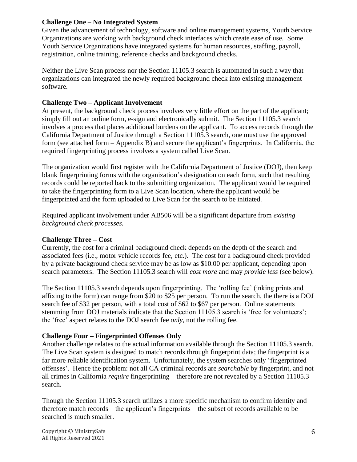#### **Challenge One – No Integrated System**

Given the advancement of technology, software and online management systems, Youth Service Organizations are working with background check interfaces which create ease of use. Some Youth Service Organizations have integrated systems for human resources, staffing, payroll, registration, online training, reference checks and background checks.

Neither the Live Scan process nor the Section 11105.3 search is automated in such a way that organizations can integrated the newly required background check into existing management software.

#### **Challenge Two – Applicant Involvement**

At present, the background check process involves very little effort on the part of the applicant; simply fill out an online form, e-sign and electronically submit. The Section 11105.3 search involves a process that places additional burdens on the applicant. To access records through the California Department of Justice through a Section 11105.3 search, one must use the approved form (see attached form – Appendix B) and secure the applicant's fingerprints. In California, the required fingerprinting process involves a system called Live Scan.

The organization would first register with the California Department of Justice (DOJ), then keep blank fingerprinting forms with the organization's designation on each form, such that resulting records could be reported back to the submitting organization. The applicant would be required to take the fingerprinting form to a Live Scan location, where the applicant would be fingerprinted and the form uploaded to Live Scan for the search to be initiated.

Required applicant involvement under AB506 will be a significant departure from *existing background check processes.*

#### **Challenge Three – Cost**

Currently, the cost for a criminal background check depends on the depth of the search and associated fees (i.e., motor vehicle records fee, etc.). The cost for a background check provided by a private background check service may be as low as \$10.00 per applicant, depending upon search parameters. The Section 11105.3 search will *cost more* and may *provide less* (see below).

The Section 11105.3 search depends upon fingerprinting. The 'rolling fee' (inking prints and affixing to the form) can range from \$20 to \$25 per person. To run the search, the there is a DOJ search fee of \$32 per person, with a total cost of \$62 to \$67 per person. Online statements stemming from DOJ materials indicate that the Section 11105.3 search is 'free for volunteers'; the 'free' aspect relates to the DOJ search fee *only*, not the rolling fee.

#### **Challenge Four – Fingerprinted Offenses Only**

Another challenge relates to the actual information available through the Section 11105.3 search. The Live Scan system is designed to match records through fingerprint data; the fingerprint is a far more reliable identification system. Unfortunately, the system searches only 'fingerprinted offenses'. Hence the problem: not all CA criminal records are *searchable* by fingerprint, and not all crimes in California *require* fingerprinting – therefore are not revealed by a Section 11105.3 search.

Though the Section 11105.3 search utilizes a more specific mechanism to confirm identity and therefore match records – the applicant's fingerprints – the subset of records available to be searched is much smaller.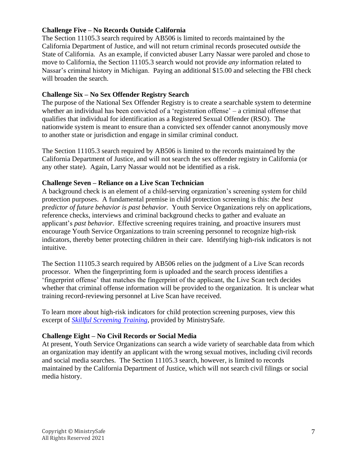#### **Challenge Five – No Records Outside California**

The Section 11105.3 search required by AB506 is limited to records maintained by the California Department of Justice, and will not return criminal records prosecuted *outside* the State of California. As an example, if convicted abuser Larry Nassar were paroled and chose to move to California, the Section 11105.3 search would not provide *any* information related to Nassar's criminal history in Michigan. Paying an additional \$15.00 and selecting the FBI check will broaden the search.

#### **Challenge Six – No Sex Offender Registry Search**

The purpose of the National Sex Offender Registry is to create a searchable system to determine whether an individual has been convicted of a 'registration offense' – a criminal offense that qualifies that individual for identification as a Registered Sexual Offender (RSO). The nationwide system is meant to ensure than a convicted sex offender cannot anonymously move to another state or jurisdiction and engage in similar criminal conduct.

The Section 11105.3 search required by AB506 is limited to the records maintained by the California Department of Justice, and will not search the sex offender registry in California (or any other state). Again, Larry Nassar would not be identified as a risk.

#### **Challenge Seven – Reliance on a Live Scan Technician**

A background check is an element of a child-serving organization's screening system for child protection purposes. A fundamental premise in child protection screening is this: *the best predictor of future behavior is past behavior.* Youth Service Organizations rely on applications, reference checks, interviews and criminal background checks to gather and evaluate an applicant's *past behavior*. Effective screening requires training, and proactive insurers must encourage Youth Service Organizations to train screening personnel to recognize high-risk indicators, thereby better protecting children in their care. Identifying high-risk indicators is not intuitive.

The Section 11105.3 search required by AB506 relies on the judgment of a Live Scan records processor. When the fingerprinting form is uploaded and the search process identifies a 'fingerprint offense' that matches the fingerprint of the applicant, the Live Scan tech decides whether that criminal offense information will be provided to the organization. It is unclear what training record-reviewing personnel at Live Scan have received.

To learn more about high-risk indicators for child protection screening purposes, view this excerpt of *[Skillful Screening Training](https://ms.ministrysafe.com/newtrainings/)*, provided by MinistrySafe.

#### **Challenge Eight – No Civil Records or Social Media**

At present, Youth Service Organizations can search a wide variety of searchable data from which an organization may identify an applicant with the wrong sexual motives, including civil records and social media searches. The Section 11105.3 search, however, is limited to records maintained by the California Department of Justice, which will not search civil filings or social media history.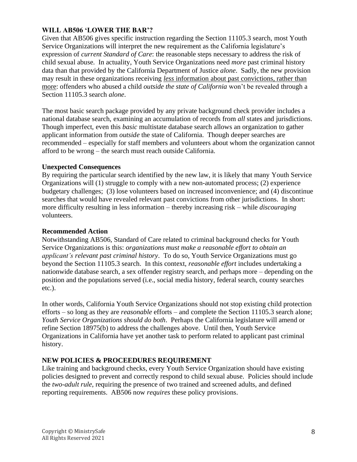#### **WILL AB506 'LOWER THE BAR'?**

Given that AB506 gives specific instruction regarding the Section 11105.3 search, most Youth Service Organizations will interpret the new requirement as the California legislature's expression of *current Standard of Care*: the reasonable steps necessary to address the risk of child sexual abuse. In actuality, Youth Service Organizations need *more* past criminal history data than that provided by the California Department of Justice *alone*. Sadly, the new provision may result in these organizations receiving *less* information about past convictions, rather than more: offenders who abused a child *outside the state of California* won't be revealed through a Section 11105.3 search *alone*.

The most basic search package provided by any private background check provider includes a national database search, examining an accumulation of records from *all* states and jurisdictions. Though imperfect, even this *basic* multistate database search allows an organization to gather applicant information from *outside* the state of California. Though deeper searches are recommended – especially for staff members and volunteers about whom the organization cannot afford to be wrong – the search must reach outside California.

#### **Unexpected Consequences**

By requiring the particular search identified by the new law, it is likely that many Youth Service Organizations will (1) struggle to comply with a new non-automated process; (2) experience budgetary challenges; (3) lose volunteers based on increased inconvenience; and (4) discontinue searches that would have revealed relevant past convictions from other jurisdictions. In short: more difficulty resulting in less information – thereby increasing risk – while *discouraging* volunteers.

#### **Recommended Action**

Notwithstanding AB506, Standard of Care related to criminal background checks for Youth Service Organizations is this: *organizations must make a reasonable effort to obtain an applicant's relevant past criminal history*. To do so, Youth Service Organizations must go beyond the Section 11105.3 search. In this context, *reasonable effort* includes undertaking a nationwide database search, a sex offender registry search, and perhaps more – depending on the position and the populations served (i.e., social media history, federal search, county searches etc.).

In other words, California Youth Service Organizations should not stop existing child protection efforts – so long as they are *reasonable* efforts – and complete the Section 11105.3 search alone; *Youth Service Organizations should do both*. Perhaps the California legislature will amend or refine Section 18975(b) to address the challenges above. Until then, Youth Service Organizations in California have yet another task to perform related to applicant past criminal history.

#### **NEW POLICIES & PROCEEDURES REQUIREMENT**

Like training and background checks, every Youth Service Organization should have existing policies designed to prevent and correctly respond to child sexual abuse. Policies should include the *two-adult rule*, requiring the presence of two trained and screened adults, and defined reporting requirements. AB506 now *requires* these policy provisions.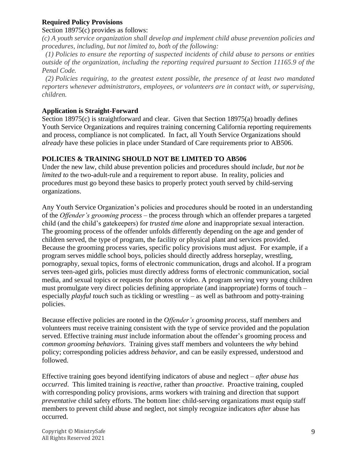#### **Required Policy Provisions**

#### Section 18975(c) provides as follows:

*(c) A youth service organization shall develop and implement child abuse prevention policies and procedures, including, but not limited to, both of the following:*

 *(1) Policies to ensure the reporting of suspected incidents of child abuse to persons or entities outside of the organization, including the reporting required pursuant to Section 11165.9 of the Penal Code.*

 *(2) Policies requiring, to the greatest extent possible, the presence of at least two mandated reporters whenever administrators, employees, or volunteers are in contact with, or supervising, children.*

#### **Application is Straight-Forward**

Section 18975(c) is straightforward and clear. Given that Section 18975(a) broadly defines Youth Service Organizations and requires training concerning California reporting requirements and process, compliance is not complicated. In fact, all Youth Service Organizations should *already* have these policies in place under Standard of Care requirements prior to AB506.

#### **POLICIES & TRAINING SHOULD NOT BE LIMITED TO AB506**

Under the new law, child abuse prevention policies and procedures should *include, but not be limited to* the two-adult-rule and a requirement to report abuse. In reality, policies and procedures must go beyond these basics to properly protect youth served by child-serving organizations.

Any Youth Service Organization's policies and procedures should be rooted in an understanding of the *Offender's grooming process* – the process through which an offender prepares a targeted child (and the child's gatekeepers) for *trusted time alone* and inappropriate sexual interaction. The grooming process of the offender unfolds differently depending on the age and gender of children served, the type of program, the facility or physical plant and services provided. Because the grooming process varies, specific policy provisions must adjust. For example, if a program serves middle school boys, policies should directly address horseplay, wrestling, pornography, sexual topics, forms of electronic communication, drugs and alcohol. If a program serves teen-aged girls, policies must directly address forms of electronic communication, social media, and sexual topics or requests for photos or video. A program serving very young children must promulgate very direct policies defining appropriate (and inappropriate) forms of touch – especially *playful touch* such as tickling or wrestling – as well as bathroom and potty-training policies.

Because effective policies are rooted in the *Offender's grooming process*, staff members and volunteers must receive training consistent with the type of service provided and the population served. Effective training *must* include information about the offender's grooming process and *common grooming behaviors*. Training gives staff members and volunteers the *why* behind policy; corresponding policies address *behavior*, and can be easily expressed, understood and followed.

Effective training goes beyond identifying indicators of abuse and neglect – *after abuse has occurred*. This limited training is *reactive*, rather than *proactive*. Proactive training, coupled with corresponding policy provisions, arms workers with training and direction that support *preventative* child safety efforts. The bottom line: child-serving organizations must equip staff members to prevent child abuse and neglect, not simply recognize indicators *after* abuse has occurred.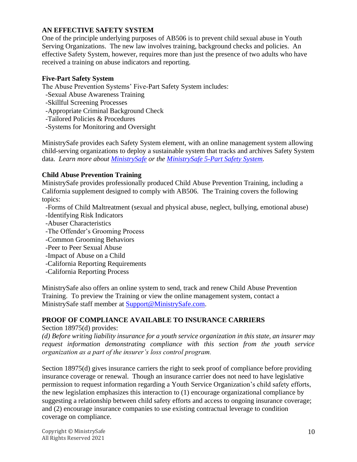#### **AN EFFECTIVE SAFETY SYSTEM**

One of the principle underlying purposes of AB506 is to prevent child sexual abuse in Youth Serving Organizations. The new law involves training, background checks and policies. An effective Safety System, however, requires more than just the presence of two adults who have received a training on abuse indicators and reporting.

#### **Five-Part Safety System**

The Abuse Prevention Systems' Five-Part Safety System includes:

- -Sexual Abuse Awareness Training
- -Skillful Screening Processes
- -Appropriate Criminal Background Check
- -Tailored Policies & Procedures
- -Systems for Monitoring and Oversight

MinistrySafe provides each Safety System element, with an online management system allowing child-serving organizations to deploy a sustainable system that tracks and archives Safety System data. *Learn more about [MinistrySafe](https://ministrysafe.com/) or the [MinistrySafe 5-Part Safety System.](https://ms.ministrysafe.com/steps/)*

#### **Child Abuse Prevention Training**

MinistrySafe provides professionally produced Child Abuse Prevention Training, including a California supplement designed to comply with AB506. The Training covers the following topics:

- -Forms of Child Maltreatment (sexual and physical abuse, neglect, bullying, emotional abuse) -Identifying Risk Indicators
- -Abuser Characteristics
- -The Offender's Grooming Process
- -Common Grooming Behaviors
- -Peer to Peer Sexual Abuse
- -Impact of Abuse on a Child
- -California Reporting Requirements
- -California Reporting Process

MinistrySafe also offers an online system to send, track and renew Child Abuse Prevention Training. To preview the Training or view the online management system, contact a MinistrySafe staff member at [Support@MinistrySafe.com.](mailto:Support@MinistrySafe.com)

#### **PROOF OF COMPLIANCE AVAILABLE TO INSURANCE CARRIERS**

Section 18975(d) provides:

*(d) Before writing liability insurance for a youth service organization in this state, an insurer may request information demonstrating compliance with this section from the youth service organization as a part of the insurer's loss control program.*

Section 18975(d) gives insurance carriers the right to seek proof of compliance before providing insurance coverage or renewal. Though an insurance carrier does not need to have legislative permission to request information regarding a Youth Service Organization's child safety efforts, the new legislation emphasizes this interaction to (1) encourage organizational compliance by suggesting a relationship between child safety efforts and access to ongoing insurance coverage; and (2) encourage insurance companies to use existing contractual leverage to condition coverage on compliance.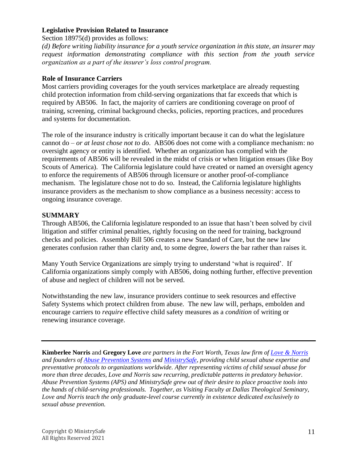#### **Legislative Provision Related to Insurance**

Section 18975(d) provides as follows:

*(d) Before writing liability insurance for a youth service organization in this state, an insurer may request information demonstrating compliance with this section from the youth service organization as a part of the insurer's loss control program.*

#### **Role of Insurance Carriers**

Most carriers providing coverages for the youth services marketplace are already requesting child protection information from child-serving organizations that far exceeds that which is required by AB506. In fact, the majority of carriers are conditioning coverage on proof of training, screening, criminal background checks, policies, reporting practices, and procedures and systems for documentation.

The role of the insurance industry is critically important because it can do what the legislature cannot do – *or at least chose not to do*. AB506 does not come with a compliance mechanism: no oversight agency or entity is identified. Whether an organization has complied with the requirements of AB506 will be revealed in the midst of crisis or when litigation ensues (like Boy Scouts of America). The California legislature could have created or named an oversight agency to enforce the requirements of AB506 through licensure or another proof-of-compliance mechanism. The legislature chose not to do so. Instead, the California legislature highlights insurance providers as the mechanism to show compliance as a business necessity: access to ongoing insurance coverage.

#### **SUMMARY**

Through AB506, the California legislature responded to an issue that hasn't been solved by civil litigation and stiffer criminal penalties, rightly focusing on the need for training, background checks and policies. Assembly Bill 506 creates a new Standard of Care, but the new law generates confusion rather than clarity and, to some degree, *lowers* the bar rather than raises it.

Many Youth Service Organizations are simply trying to understand 'what is required'. If California organizations simply comply with AB506, doing nothing further, effective prevention of abuse and neglect of children will not be served.

Notwithstanding the new law, insurance providers continue to seek resources and effective Safety Systems which protect children from abuse. The new law will, perhaps, embolden and encourage carriers to *require* effective child safety measures as a *condition* of writing or renewing insurance coverage.

**Kimberlee Norris** and **Gregory Love** *are partners in the Fort Worth, Texas law firm of [Love & Norris](http://lovenorris.com/) and founders of [Abuse Prevention Systems](http://abusepreventionsystems.com/) and [MinistrySafe,](http://ministrysafe.com/) providing child sexual abuse expertise and preventative protocols to organizations worldwide. After representing victims of child sexual abuse for more than three decades, Love and Norris saw recurring, predictable patterns in predatory behavior. Abuse Prevention Systems (APS) and MinistrySafe grew out of their desire to place proactive tools into the hands of child-serving professionals. Together, as Visiting Faculty at Dallas Theological Seminary, Love and Norris teach the only graduate-level course currently in existence dedicated exclusively to sexual abuse prevention.*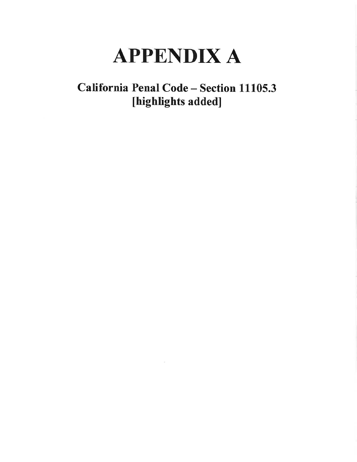# **APPENDIX A**

## California Penal Code - Section 11105.3 [highlights added]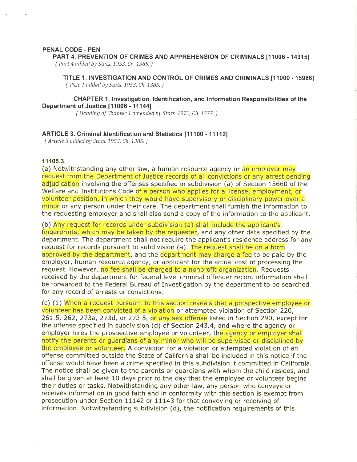#### PENAL CODE - PEN

PART 4. PREVENTION OF CRIMES AND APPREHENSION OF CRIMINALS [11006 - 14315] (Part 4 added by Stats. 1953, Ch. 1385.)

TITLE 1. INVESTIGATION AND CONTROL OF CRIMES AND CRIMINALS [11000 - 15986] (Title 1 added by Stats. 1953, Ch. 1385.)

#### **CHAPTER 1. Investigation, Identification, and Information Responsibilities of the** Department of Justice [11006 - 11144]

(Heading of Chapter 1 amended by Stats. 1972, Ch. 1377.)

#### ARTICLE 3. Criminal Identification and Statistics [11100 - 11112]

(Article 3 added by Stats. 1953, Ch. 1385.)

#### 11105.3.

(a) Notwithstanding any other law, a human resource agency or an employer may request from the Department of Justice records of all convictions or any arrest pending adjudication involving the offenses specified in subdivision (a) of Section 15660 of the Welfare and Institutions Code of a person who applies for a license, employment, or volunteer position, in which they would have supervisory or disciplinary power over a minor or any person under their care. The department shall furnish the information to the requesting employer and shall also send a copy of the information to the applicant.

(b) Any request for records under subdivision (a) shall include the applicant's fingerprints, which may be taken by the requester, and any other data specified by the department. The department shall not require the applicant's residence address for any request for records pursuant to subdivision (a). The request shall be on a form approved by the department, and the department may charge a fee to be paid by the employer, human resource agency, or applicant for the actual cost of processing the request. However, no fee shall be charged to a nonprofit organization. Requests received by the department for federal level criminal offender record information shall be forwarded to the Federal Bureau of Investigation by the department to be searched for any record of arrests or convictions.

(c) (1) When a request pursuant to this section reveals that a prospective employee or volunteer has been convicted of a violation or attempted violation of Section 220, 261.5, 262, 273a, 273d, or 273.5, or any sex offense listed in Section 290, except for the offense specified in subdivision (d) of Section 243.4, and where the agency or employer hires the prospective employee or volunteer, the agency or employer shall notify the parents or quardians of any minor who will be supervised or disciplined by the employee or volunteer. A conviction for a violation or attempted violation of an offense committed outside the State of California shall be included in this notice if the offense would have been a crime specified in this subdivision if committed in California. The notice shall be given to the parents or guardians with whom the child resides, and shall be given at least 10 days prior to the day that the employee or volunteer begins their duties or tasks. Notwithstanding any other law, any person who conveys or receives information in good faith and in conformity with this section is exempt from prosecution under Section 11142 or 11143 for that conveying or receiving of information. Notwithstanding subdivision (d), the notification requirements of this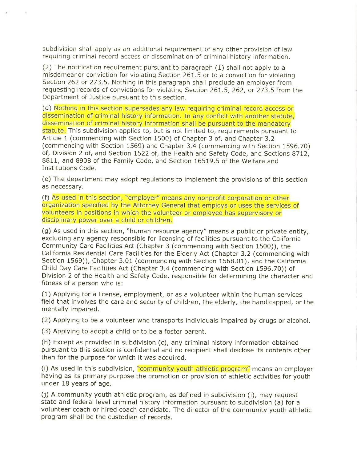subdivision shall apply as an additional requirement of any other provision of law requiring criminal record access or dissemination of criminal history information.

(2) The notification requirement pursuant to paragraph (1) shall not apply to a misdemeanor conviction for violating Section 261.5 or to a conviction for violating Section 262 or 273.5. Nothing in this paragraph shall preclude an employer from requesting records of convictions for violating Section 261.5, 262, or 273.5 from the Department of Justice pursuant to this section.

(d) Nothing in this section supersedes any law requiring criminal record access or dissemination of criminal history information. In any conflict with another statute. dissemination of criminal history information shall be pursuant to the mandatory statute. This subdivision applies to, but is not limited to, requirements pursuant to Article 1 (commencing with Section 1500) of Chapter 3 of, and Chapter 3.2 (commencing with Section 1569) and Chapter 3.4 (commencing with Section 1596.70) of, Division 2 of, and Section 1522 of, the Health and Safety Code, and Sections 8712, 8811, and 8908 of the Family Code, and Section 16519.5 of the Welfare and **Institutions Code.** 

(e) The department may adopt regulations to implement the provisions of this section as necessary.

(f) As used in this section, "employer" means any nonprofit corporation or other organization specified by the Attorney General that employs or uses the services of volunteers in positions in which the volunteer or employee has supervisory or disciplinary power over a child or children.

(g) As used in this section, "human resource agency" means a public or private entity, excluding any agency responsible for licensing of facilities pursuant to the California Community Care Facilities Act (Chapter 3 (commencing with Section 1500)), the California Residential Care Facilities for the Elderly Act (Chapter 3.2 (commencing with Section 1569)), Chapter 3.01 (commencing with Section 1568.01), and the California Child Day Care Facilities Act (Chapter 3.4 (commencing with Section 1596.70)) of Division 2 of the Health and Safety Code, responsible for determining the character and fitness of a person who is:

(1) Applying for a license, employment, or as a volunteer within the human services field that involves the care and security of children, the elderly, the handicapped, or the mentally impaired.

(2) Applying to be a volunteer who transports individuals impaired by drugs or alcohol.

(3) Applying to adopt a child or to be a foster parent.

(h) Except as provided in subdivision (c), any criminal history information obtained pursuant to this section is confidential and no recipient shall disclose its contents other than for the purpose for which it was acquired.

(i) As used in this subdivision, "community youth athletic program" means an employer having as its primary purpose the promotion or provision of athletic activities for youth under 18 years of age.

(j) A community youth athletic program, as defined in subdivision (i), may request state and federal level criminal history information pursuant to subdivision (a) for a volunteer coach or hired coach candidate. The director of the community youth athletic program shall be the custodian of records.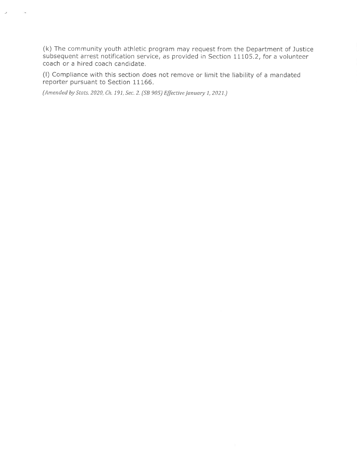(k) The community youth athletic program may request from the Department of Justice subsequent arrest notification service, as provided in Section 11105.2, for a volunteer coach or a hired coach candidate.

(I) Compliance with this section does not remove or limit the liability of a mandated reporter pursuant to Section 11166.

(Amended by Stats. 2020, Ch. 191, Sec. 2. (SB 905) Effective January 1, 2021.)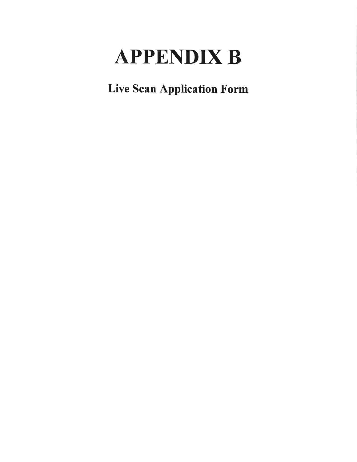# **APPENDIX B**

**Live Scan Application Form**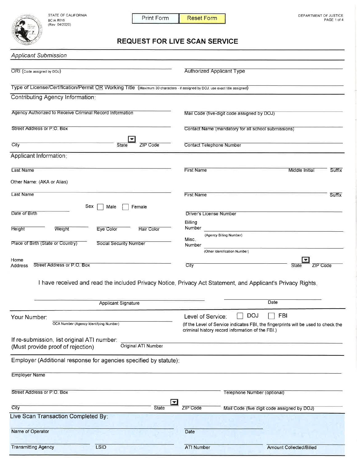STATE OF CALIFORNIA BCIA 8016<br>(Rev 04/2020)



**Transmitting Agency** 

LSID

Print Form **Reset Form** 

### **REQUEST FOR LIVE SCAN SERVICE**

| <b>Applicant Submission</b>                                                                                                  |                                                                                                                                        |
|------------------------------------------------------------------------------------------------------------------------------|----------------------------------------------------------------------------------------------------------------------------------------|
| ORI (Code assigned by DOJ)                                                                                                   | <b>Authorized Applicant Type</b>                                                                                                       |
| Type of License/Certification/Permit OR Working Title (Maximum 30 characters - if assigned by DOJ, use exact title assigned) |                                                                                                                                        |
| Contributing Agency Information:                                                                                             |                                                                                                                                        |
| Agency Authorized to Receive Criminal Record Information                                                                     | Mail Code (five-digit code assigned by DOJ)                                                                                            |
| Street Address or P.O. Box                                                                                                   | Contact Name (mandatory for all school submissions)                                                                                    |
| City<br><b>State</b><br>ZIP Code                                                                                             | <b>Contact Telephone Number</b>                                                                                                        |
| Applicant Information:                                                                                                       |                                                                                                                                        |
| Last Name                                                                                                                    | Suffix<br><b>First Name</b><br>Middle Initial                                                                                          |
| Other Name: (AKA or Alias)                                                                                                   |                                                                                                                                        |
| Last Name                                                                                                                    | <b>First Name</b><br>Suffix                                                                                                            |
| Sex<br>Male<br>Female<br>Date of Birth                                                                                       | <b>Driver's License Number</b><br>Billing                                                                                              |
| <b>Height</b><br>Weight<br>Eye Color<br><b>Hair Color</b>                                                                    | Number<br>(Agency Billing Number)                                                                                                      |
| Place of Birth (State or Country)<br><b>Social Security Number</b>                                                           | Misc.<br>Number                                                                                                                        |
|                                                                                                                              | (Other Identification Number)                                                                                                          |
| Home<br>Street Address or P.O. Box<br>Address                                                                                | City<br>State<br>ZIP Code                                                                                                              |
|                                                                                                                              | I have received and read the included Privacy Notice, Privacy Act Statement, and Applicant's Privacy Rights.                           |
| <b>Applicant Signature</b>                                                                                                   | Date                                                                                                                                   |
| Your Number:                                                                                                                 | <b>DOJ</b><br>FBI<br>Level of Service:                                                                                                 |
| OCA Number (Agency Identifying Number)                                                                                       | (If the Level of Service indicates FBI, the fingerprints will be used to check the<br>criminal history record information of the FBI.) |
| If re-submission, list original ATI number:<br>Original ATI Number<br>(Must provide proof of rejection)                      |                                                                                                                                        |
| Employer (Additional response for agencies specified by statute):                                                            |                                                                                                                                        |
| <b>Employer Name</b>                                                                                                         |                                                                                                                                        |
| Street Address or P.O. Box                                                                                                   | Telephone Number (optional)                                                                                                            |
| $\overline{\phantom{0}}$<br>City<br><b>State</b>                                                                             | ZIP Code<br>Mail Code (five digit code assigned by DOJ)                                                                                |
| Live Scan Transaction Completed By:                                                                                          |                                                                                                                                        |
| Name of Operator                                                                                                             | Date                                                                                                                                   |

ATI Number

Amount Collected/Billed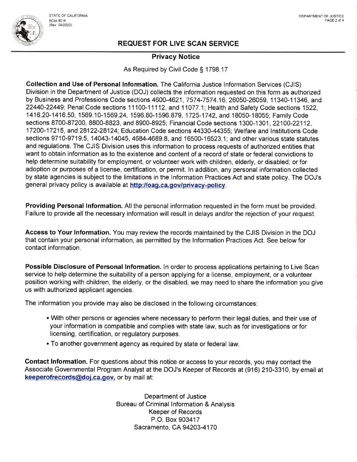

#### **Privacy Notice**

As Required by Civil Code § 1798.17

Collection and Use of Personal Information. The California Justice Information Services (CJIS) Division in the Department of Justice (DOJ) collects the information requested on this form as authorized by Business and Professions Code sections 4600-4621, 7574-7574.16, 26050-26059, 11340-11346, and 22440-22449; Penal Code sections 11100-11112, and 11077.1; Health and Safety Code sections 1522. 1416.20-1416.50, 1569.10-1569.24, 1596.80-1596.879, 1725-1742, and 18050-18055; Family Code sections 8700-87200, 8800-8823, and 8900-8925; Financial Code sections 1300-1301, 22100-22112. 17200-17215, and 28122-28124; Education Code sections 44330-44355; Welfare and Institutions Code sections 9710-9719.5, 14043-14045, 4684-4689.8, and 16500-16523.1; and other various state statutes and regulations. The CJIS Division uses this information to process requests of authorized entities that want to obtain information as to the existence and content of a record of state or federal convictions to help determine suitability for employment, or volunteer work with children, elderly, or disabled; or for adoption or purposes of a license, certification, or permit. In addition, any personal information collected by state agencies is subject to the limitations in the Information Practices Act and state policy. The DOJ's general privacy policy is available at http://oag.ca.gov/privacy-policy.

Providing Personal Information. All the personal information requested in the form must be provided. Failure to provide all the necessary information will result in delays and/or the rejection of your request.

Access to Your Information. You may review the records maintained by the CJIS Division in the DOJ that contain your personal information, as permitted by the Information Practices Act. See below for contact information.

Possible Disclosure of Personal Information. In order to process applications pertaining to Live Scan service to help determine the suitability of a person applying for a license, employment, or a volunteer position working with children, the elderly, or the disabled, we may need to share the information you give us with authorized applicant agencies.

The information you provide may also be disclosed in the following circumstances:

- With other persons or agencies where necessary to perform their legal duties, and their use of your information is compatible and complies with state law, such as for investigations or for licensing, certification, or regulatory purposes.
- . To another government agency as required by state or federal law.

Contact Information. For questions about this notice or access to your records, you may contact the Associate Governmental Program Analyst at the DOJ's Keeper of Records at (916) 210-3310, by email at keeperofrecords@doj.ca.gov, or by mail at:

> Department of Justice Bureau of Criminal Information & Analysis **Keeper of Records** P.O. Box 903417 Sacramento, CA 94203-4170